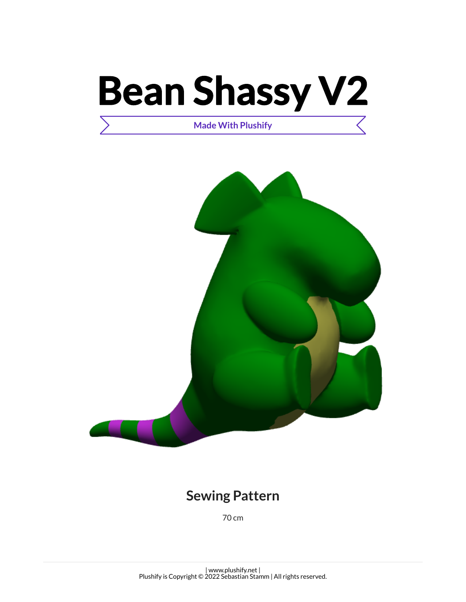## **Bean Shassy V2**  $\sum$

**Made With Plushify**



## **Sewing Pattern**

70 cm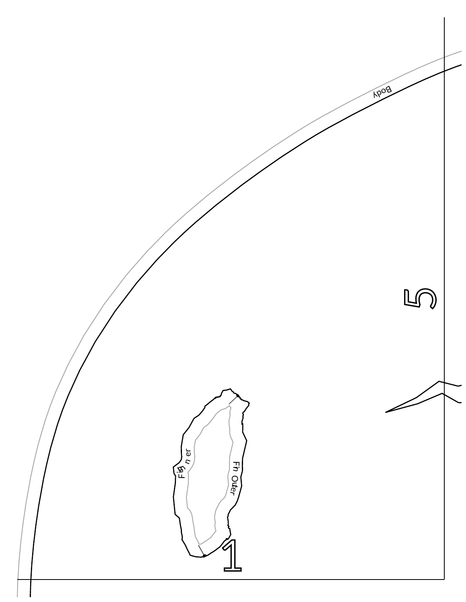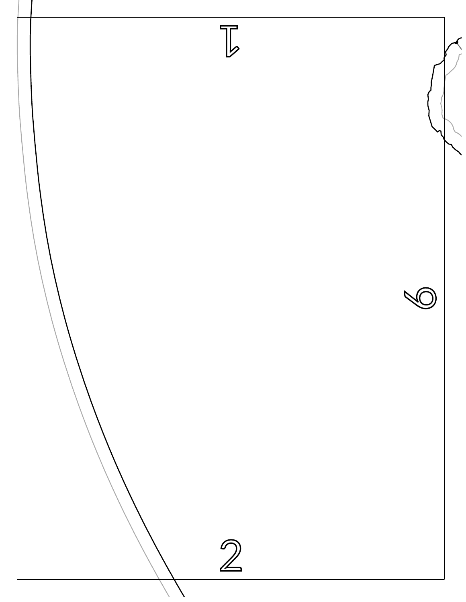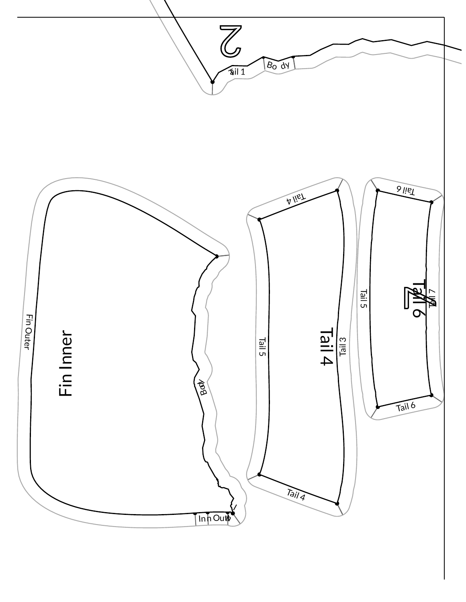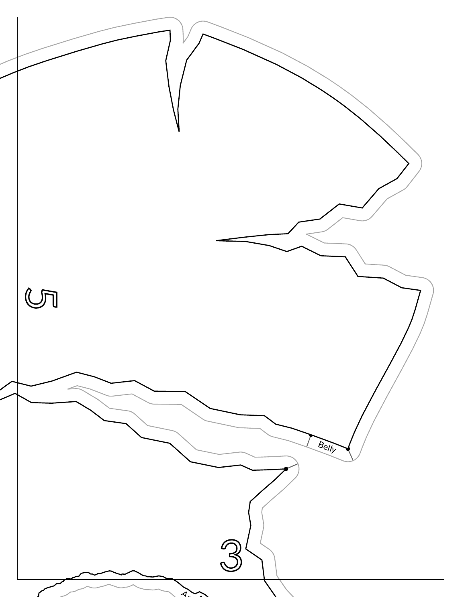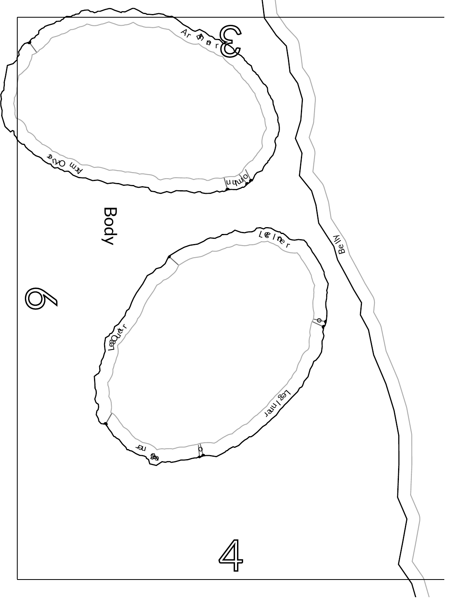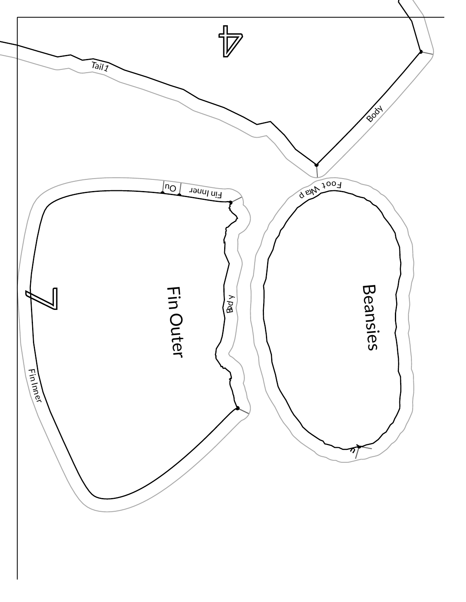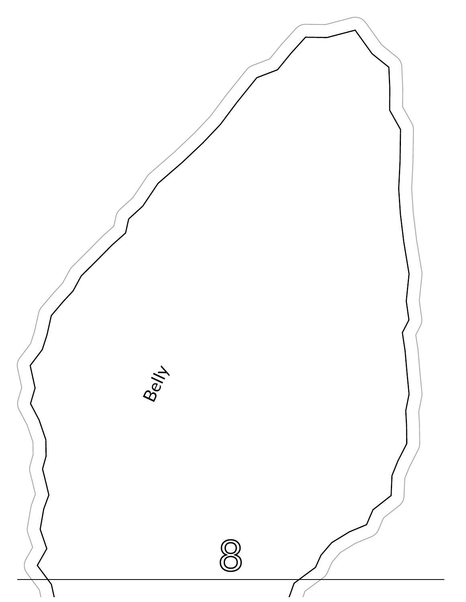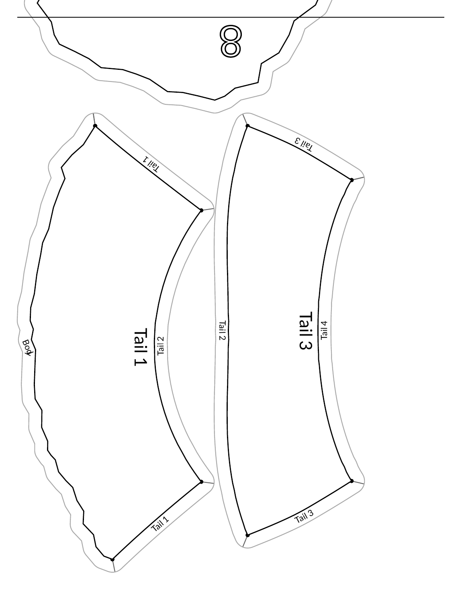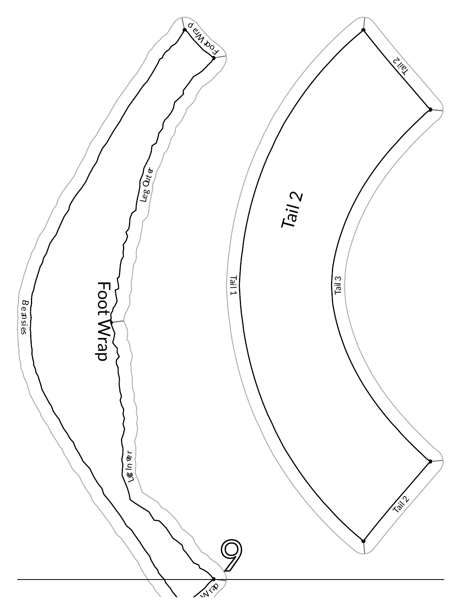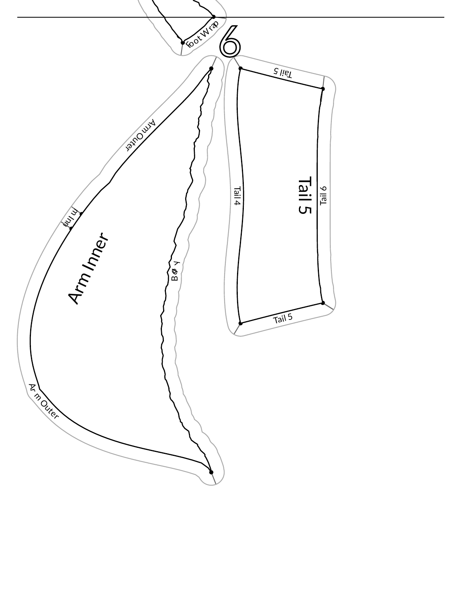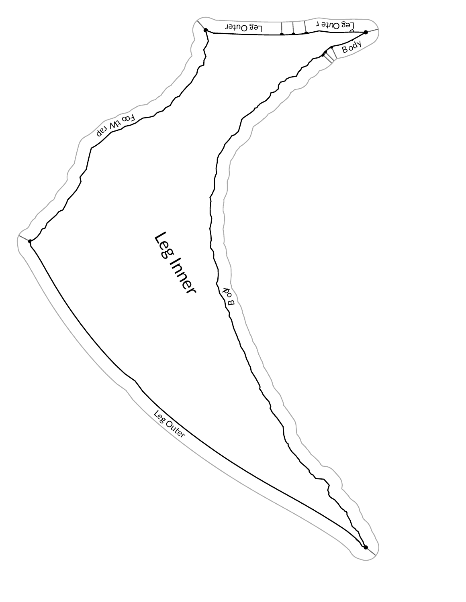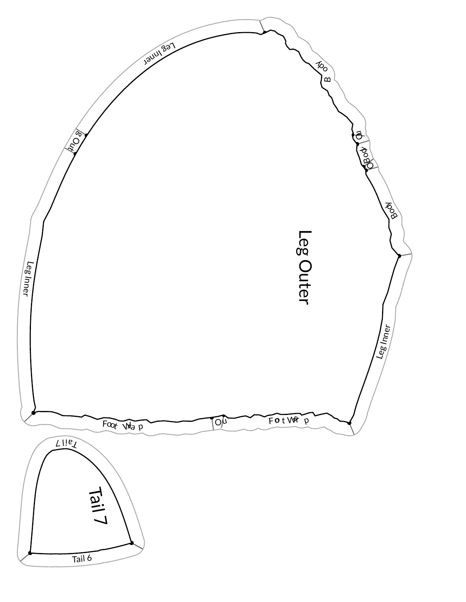